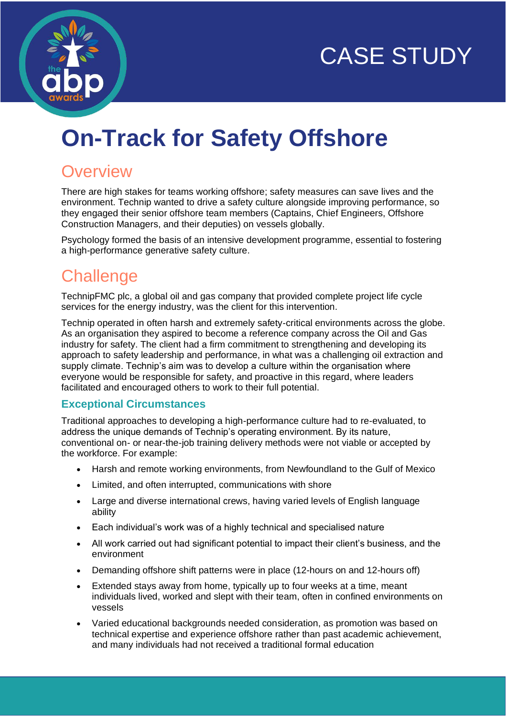



# **On-Track for Safety Offshore**

### **Overview**

There are high stakes for teams working offshore; safety measures can save lives and the environment. Technip wanted to drive a safety culture alongside improving performance, so they engaged their senior offshore team members (Captains, Chief Engineers, Offshore Construction Managers, and their deputies) on vessels globally.

Psychology formed the basis of an intensive development programme, essential to fostering a high-performance generative safety culture.

### **Challenge**

TechnipFMC plc, a global oil and gas company that provided complete project life cycle services for the energy industry, was the client for this intervention.

Technip operated in often harsh and extremely safety-critical environments across the globe. As an organisation they aspired to become a reference company across the Oil and Gas industry for safety. The client had a firm commitment to strengthening and developing its approach to safety leadership and performance, in what was a challenging oil extraction and supply climate. Technip's aim was to develop a culture within the organisation where everyone would be responsible for safety, and proactive in this regard, where leaders facilitated and encouraged others to work to their full potential.

#### **Exceptional Circumstances**

Traditional approaches to developing a high-performance culture had to re-evaluated, to address the unique demands of Technip's operating environment. By its nature, conventional on- or near-the-job training delivery methods were not viable or accepted by the workforce. For example:

- Harsh and remote working environments, from Newfoundland to the Gulf of Mexico
- Limited, and often interrupted, communications with shore
- Large and diverse international crews, having varied levels of English language ability
- Each individual's work was of a highly technical and specialised nature
- All work carried out had significant potential to impact their client's business, and the environment
- Demanding offshore shift patterns were in place (12-hours on and 12-hours off)
- Extended stays away from home, typically up to four weeks at a time, meant individuals lived, worked and slept with their team, often in confined environments on vessels
- Varied educational backgrounds needed consideration, as promotion was based on technical expertise and experience offshore rather than past academic achievement, and many individuals had not received a traditional formal education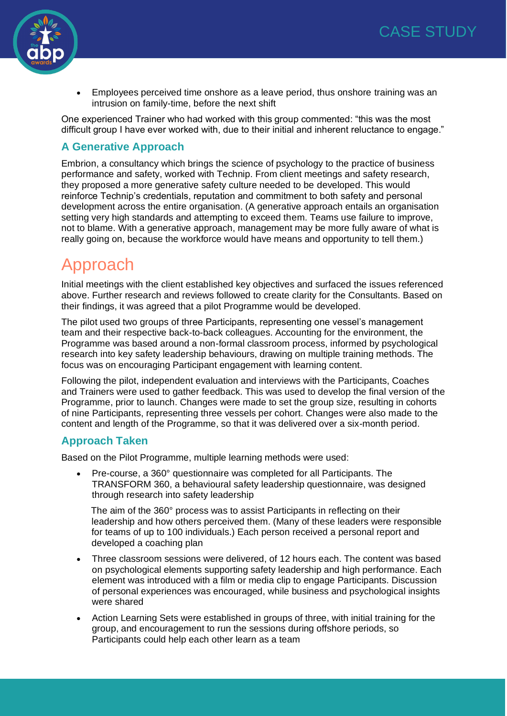

• Employees perceived time onshore as a leave period, thus onshore training was an intrusion on family-time, before the next shift

One experienced Trainer who had worked with this group commented: "this was the most difficult group I have ever worked with, due to their initial and inherent reluctance to engage."

#### **A Generative Approach**

Embrion, a consultancy which brings the science of psychology to the practice of business performance and safety, worked with Technip. From client meetings and safety research, they proposed a more generative safety culture needed to be developed. This would reinforce Technip's credentials, reputation and commitment to both safety and personal development across the entire organisation. (A generative approach entails an organisation setting very high standards and attempting to exceed them. Teams use failure to improve, not to blame. With a generative approach, management may be more fully aware of what is really going on, because the workforce would have means and opportunity to tell them.)

### Approach

Initial meetings with the client established key objectives and surfaced the issues referenced above. Further research and reviews followed to create clarity for the Consultants. Based on their findings, it was agreed that a pilot Programme would be developed.

The pilot used two groups of three Participants, representing one vessel's management team and their respective back-to-back colleagues. Accounting for the environment, the Programme was based around a non-formal classroom process, informed by psychological research into key safety leadership behaviours, drawing on multiple training methods. The focus was on encouraging Participant engagement with learning content.

Following the pilot, independent evaluation and interviews with the Participants, Coaches and Trainers were used to gather feedback. This was used to develop the final version of the Programme, prior to launch. Changes were made to set the group size, resulting in cohorts of nine Participants, representing three vessels per cohort. Changes were also made to the content and length of the Programme, so that it was delivered over a six-month period.

#### **Approach Taken**

Based on the Pilot Programme, multiple learning methods were used:

• Pre-course, a 360° questionnaire was completed for all Participants. The TRANSFORM 360, a behavioural safety leadership questionnaire, was designed through research into safety leadership

The aim of the 360° process was to assist Participants in reflecting on their leadership and how others perceived them. (Many of these leaders were responsible for teams of up to 100 individuals.) Each person received a personal report and developed a coaching plan

- Three classroom sessions were delivered, of 12 hours each. The content was based on psychological elements supporting safety leadership and high performance. Each element was introduced with a film or media clip to engage Participants. Discussion of personal experiences was encouraged, while business and psychological insights were shared
- Action Learning Sets were established in groups of three, with initial training for the group, and encouragement to run the sessions during offshore periods, so Participants could help each other learn as a team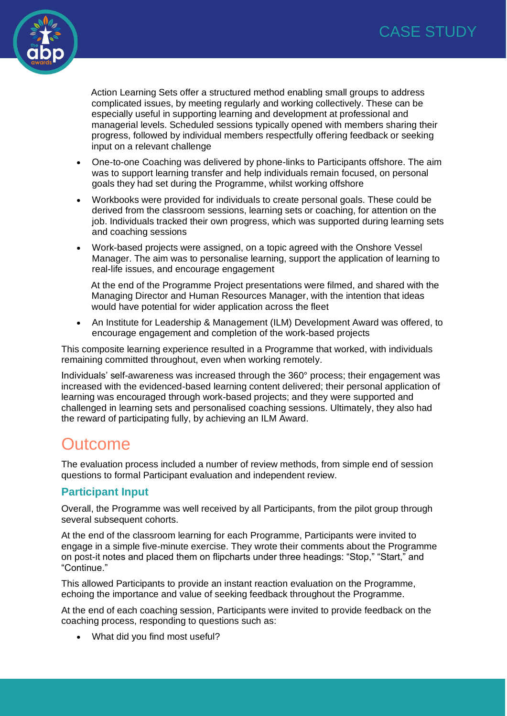

Action Learning Sets offer a structured method enabling small groups to address complicated issues, by meeting regularly and working collectively. These can be especially useful in supporting learning and development at professional and managerial levels. Scheduled sessions typically opened with members sharing their progress, followed by individual members respectfully offering feedback or seeking input on a relevant challenge

- One-to-one Coaching was delivered by phone-links to Participants offshore. The aim was to support learning transfer and help individuals remain focused, on personal goals they had set during the Programme, whilst working offshore
- Workbooks were provided for individuals to create personal goals. These could be derived from the classroom sessions, learning sets or coaching, for attention on the job. Individuals tracked their own progress, which was supported during learning sets and coaching sessions
- Work-based projects were assigned, on a topic agreed with the Onshore Vessel Manager. The aim was to personalise learning, support the application of learning to real-life issues, and encourage engagement

At the end of the Programme Project presentations were filmed, and shared with the Managing Director and Human Resources Manager, with the intention that ideas would have potential for wider application across the fleet

• An Institute for Leadership & Management (ILM) Development Award was offered, to encourage engagement and completion of the work-based projects

This composite learning experience resulted in a Programme that worked, with individuals remaining committed throughout, even when working remotely.

Individuals' self-awareness was increased through the 360° process; their engagement was increased with the evidenced-based learning content delivered; their personal application of learning was encouraged through work-based projects; and they were supported and challenged in learning sets and personalised coaching sessions. Ultimately, they also had the reward of participating fully, by achieving an ILM Award.

### **Outcome**

The evaluation process included a number of review methods, from simple end of session questions to formal Participant evaluation and independent review.

#### **Participant Input**

Overall, the Programme was well received by all Participants, from the pilot group through several subsequent cohorts.

At the end of the classroom learning for each Programme, Participants were invited to engage in a simple five-minute exercise. They wrote their comments about the Programme on post-it notes and placed them on flipcharts under three headings: "Stop," "Start," and "Continue."

This allowed Participants to provide an instant reaction evaluation on the Programme, echoing the importance and value of seeking feedback throughout the Programme.

At the end of each coaching session, Participants were invited to provide feedback on the coaching process, responding to questions such as:

• What did you find most useful?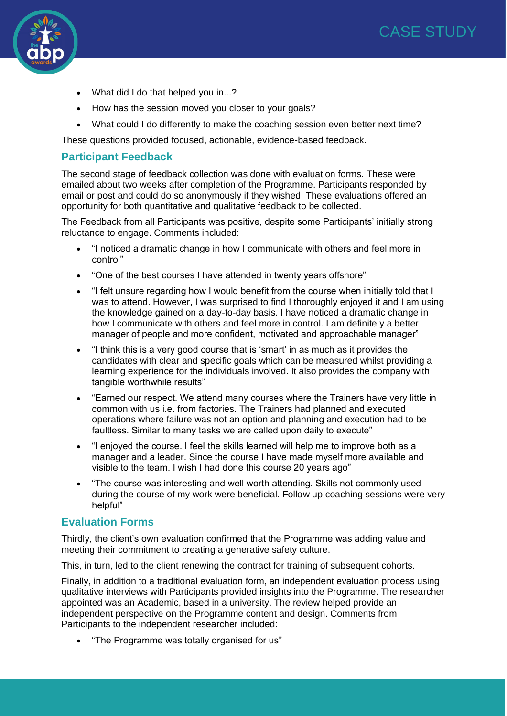

- What did I do that helped you in...?
- How has the session moved you closer to your goals?
- What could I do differently to make the coaching session even better next time?

These questions provided focused, actionable, evidence-based feedback.

#### **Participant Feedback**

The second stage of feedback collection was done with evaluation forms. These were emailed about two weeks after completion of the Programme. Participants responded by email or post and could do so anonymously if they wished. These evaluations offered an opportunity for both quantitative and qualitative feedback to be collected.

The Feedback from all Participants was positive, despite some Participants' initially strong reluctance to engage. Comments included:

- "I noticed a dramatic change in how I communicate with others and feel more in control"
- "One of the best courses I have attended in twenty years offshore"
- "I felt unsure regarding how I would benefit from the course when initially told that I was to attend. However, I was surprised to find I thoroughly enjoyed it and I am using the knowledge gained on a day-to-day basis. I have noticed a dramatic change in how I communicate with others and feel more in control. I am definitely a better manager of people and more confident, motivated and approachable manager"
- "I think this is a very good course that is 'smart' in as much as it provides the candidates with clear and specific goals which can be measured whilst providing a learning experience for the individuals involved. It also provides the company with tangible worthwhile results"
- "Earned our respect. We attend many courses where the Trainers have very little in common with us i.e. from factories. The Trainers had planned and executed operations where failure was not an option and planning and execution had to be faultless. Similar to many tasks we are called upon daily to execute"
- "I enjoyed the course. I feel the skills learned will help me to improve both as a manager and a leader. Since the course I have made myself more available and visible to the team. I wish I had done this course 20 years ago"
- "The course was interesting and well worth attending. Skills not commonly used during the course of my work were beneficial. Follow up coaching sessions were very helpful"

#### **Evaluation Forms**

Thirdly, the client's own evaluation confirmed that the Programme was adding value and meeting their commitment to creating a generative safety culture.

This, in turn, led to the client renewing the contract for training of subsequent cohorts.

Finally, in addition to a traditional evaluation form, an independent evaluation process using qualitative interviews with Participants provided insights into the Programme. The researcher appointed was an Academic, based in a university. The review helped provide an independent perspective on the Programme content and design. Comments from Participants to the independent researcher included:

• "The Programme was totally organised for us"